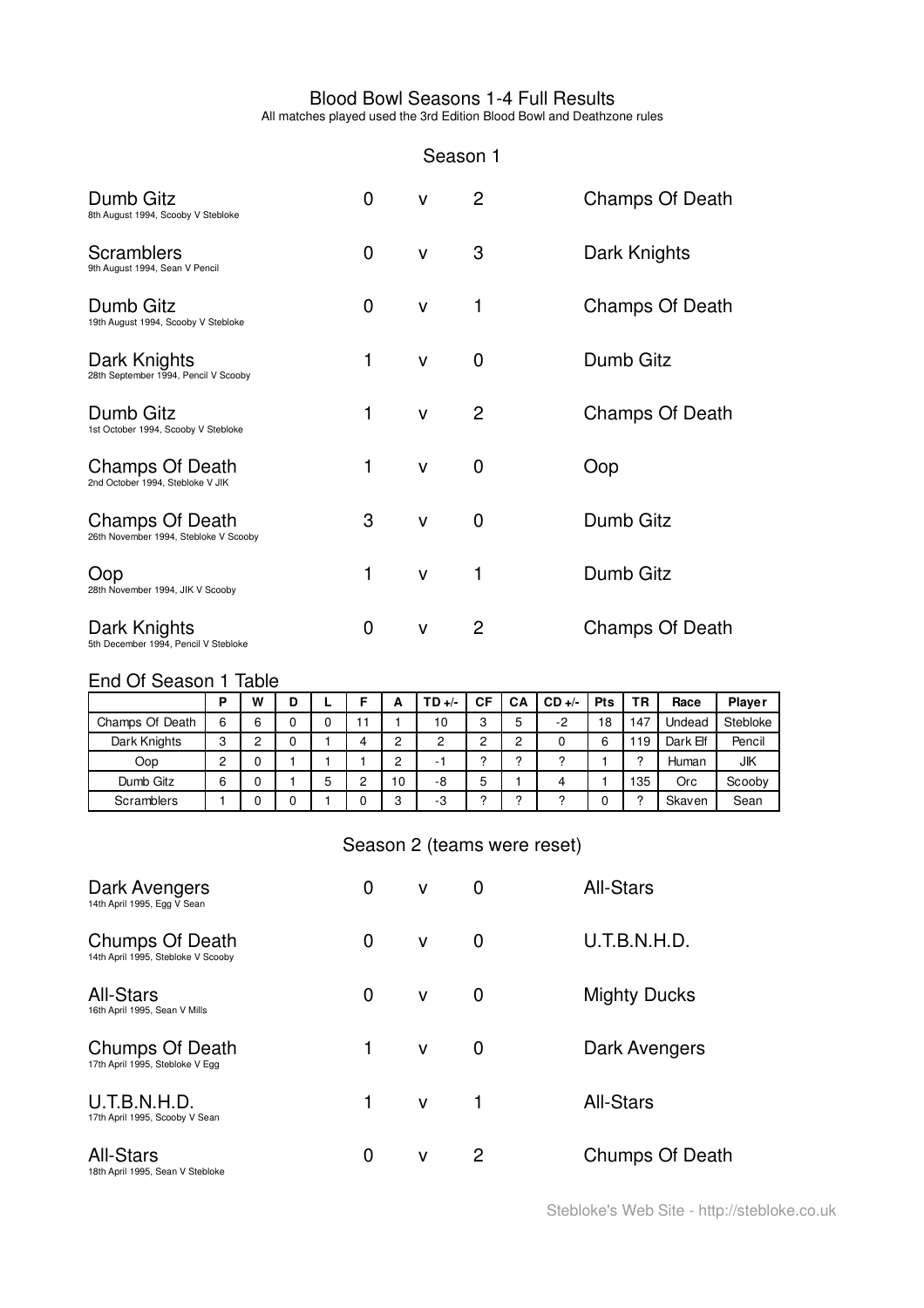## Blood Bowl Seasons 1-4 Full Results

All matches played used the 3rd Edition Blood Bowl and Deathzone rules

### Season 1

| Dumb Gitz<br>8th August 1994, Scooby V Stebloke            | 0 | v            | 2 | Champs Of Death |
|------------------------------------------------------------|---|--------------|---|-----------------|
| <b>Scramblers</b><br>9th August 1994, Sean V Pencil        | 0 | $\mathsf{V}$ | 3 | Dark Knights    |
| Dumb Gitz<br>19th August 1994, Scooby V Stebloke           | 0 | v            | 1 | Champs Of Death |
| Dark Knights<br>28th September 1994, Pencil V Scooby       | 1 | v            | 0 | Dumb Gitz       |
| Dumb Gitz<br>1st October 1994, Scooby V Stebloke           | 1 | v            | 2 | Champs Of Death |
| <b>Champs Of Death</b><br>2nd October 1994. Stebloke V JIK | 1 | $\mathsf{V}$ | 0 | Oop             |
| Champs Of Death<br>26th November 1994, Stebloke V Scooby   | 3 | $\mathsf{V}$ | 0 | Dumb Gitz       |
| Oop<br>28th November 1994, JIK V Scooby                    | 1 | $\mathsf{V}$ | 1 | Dumb Gitz       |
| Dark Knights<br>5th December 1994, Pencil V Stebloke       | 0 | v            | 2 | Champs Of Death |

# End Of Season 1 Table

|                 | P | W | D |   |   | ∼      | TD +/- | СF     | СA     | $CD +/-$ | <b>Pts</b> | ΤR  | Race     | <b>Player</b> |
|-----------------|---|---|---|---|---|--------|--------|--------|--------|----------|------------|-----|----------|---------------|
| Champs Of Death | 6 | 6 | 0 |   | н |        | 10     | 3      | 5      | $-2$     | 18         | 147 | Undead   | Stebloke      |
| Dark Knights    | 3 | 2 | 0 |   |   | ົ      | ◠      | c      | c      |          | 6          | 19  | Dark Elf | Pencil        |
| Oop             | 2 | 0 |   |   |   | ⌒      |        | $\sim$ | $\sim$ |          |            | ◠   | Human    | JIK           |
| Dumb Gitz       | 6 | 0 |   | J |   | 10     | -8     | 5      |        |          |            | 135 | Orc      | Scooby        |
| Scramblers      |   | 0 | 0 |   |   | o<br>ت | -3     | ົ      | ◠      |          |            | ◠   | Skaven   | Sean          |

# Season 2 (teams were reset)

| Dark Avengers<br>14th April 1995, Egg V Sean          | 0 | v            | 0 | <b>All-Stars</b>       |
|-------------------------------------------------------|---|--------------|---|------------------------|
| Chumps Of Death<br>14th April 1995, Stebloke V Scooby | 0 | $\mathsf{V}$ | 0 | U.T.B.N.H.D.           |
| <b>All-Stars</b><br>16th April 1995, Sean V Mills     | 0 | $\mathsf{V}$ | 0 | <b>Mighty Ducks</b>    |
| Chumps Of Death<br>17th April 1995, Stebloke V Egg    | 1 | $\mathsf{V}$ | 0 | Dark Avengers          |
| U.T.B.N.H.D.<br>17th April 1995, Scooby V Sean        | 1 | $\mathsf{V}$ | 1 | <b>All-Stars</b>       |
| <b>All-Stars</b><br>18th April 1995, Sean V Stebloke  | 0 | $\mathsf{V}$ | 2 | <b>Chumps Of Death</b> |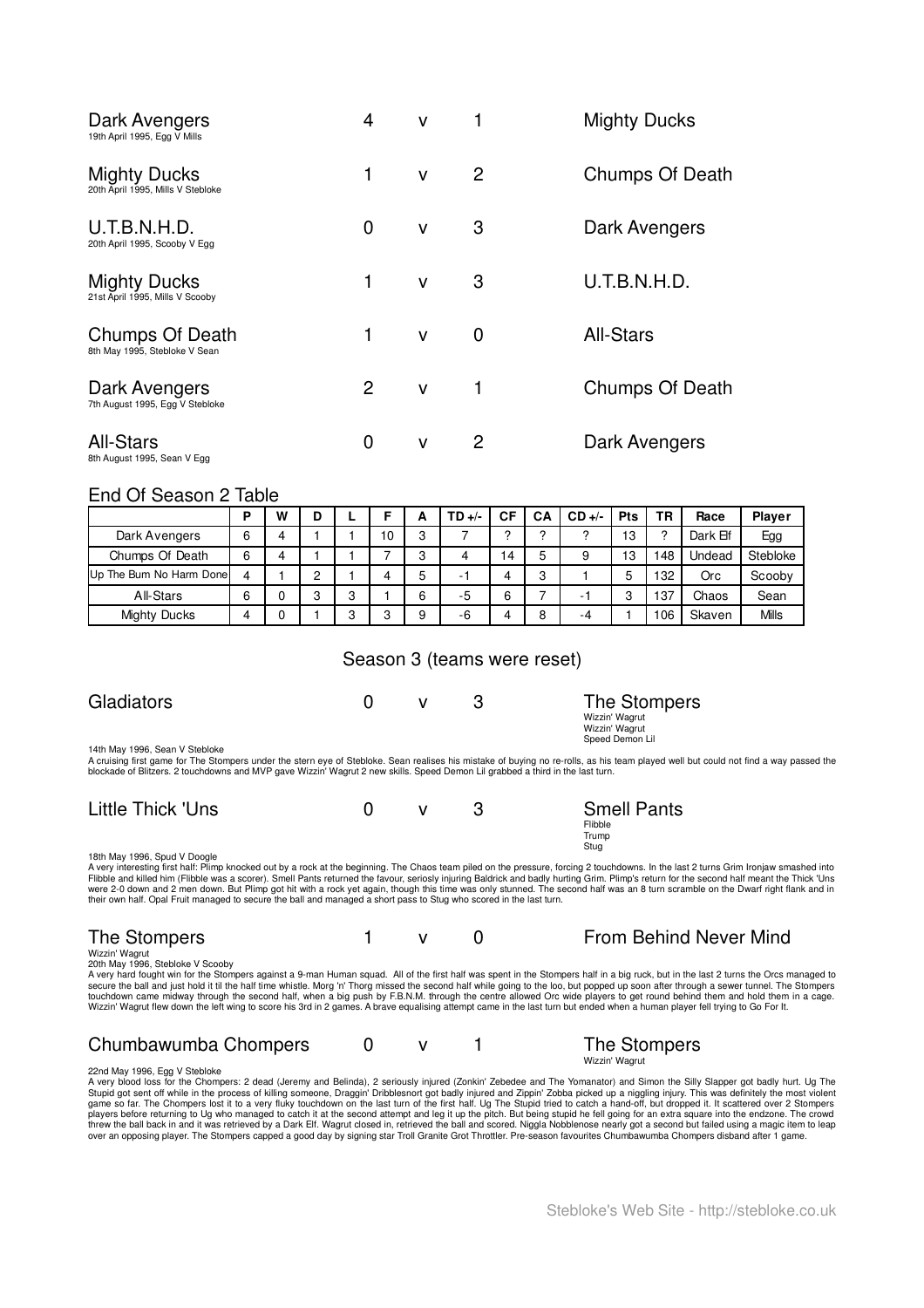| Dark Avengers<br>19th April 1995, Egg V Mills            | 4 | v            |   | <b>Mighty Ducks</b>    |
|----------------------------------------------------------|---|--------------|---|------------------------|
| <b>Mighty Ducks</b><br>20th April 1995, Mills V Stebloke | 1 | $\mathsf{V}$ | 2 | <b>Chumps Of Death</b> |
| U.T.B.N.H.D.<br>20th April 1995, Scooby V Egg            | 0 | v            | 3 | Dark Avengers          |
| <b>Mighty Ducks</b><br>21st April 1995, Mills V Scooby   | 1 | v            | 3 | U.T.B.N.H.D.           |
| Chumps Of Death<br>8th May 1995, Stebloke V Sean         | 1 | $\mathsf{V}$ | 0 | <b>All-Stars</b>       |
| Dark Avengers<br>7th August 1995, Egg V Stebloke         | 2 | $\mathsf{V}$ | 1 | Chumps Of Death        |
| <b>All-Stars</b><br>8th August 1995, Sean V Egg          | 0 | v            | 2 | Dark Avengers          |

### End Of Season 2 Table

|                         | D | W | D |   |    |   | $TD +$ | СF | CА | $CD +/-$                 | <b>Pts</b> | ΤR  | Race     | <b>Player</b> |
|-------------------------|---|---|---|---|----|---|--------|----|----|--------------------------|------------|-----|----------|---------------|
| Dark Avengers           | 6 | 4 |   |   | 10 | c |        | ົ  | c  | ∩                        | 13         | c   | Dark Elf | Egg           |
| Chumps Of Death         | 6 | 4 |   |   |    | c | 4      | 4  | 5  | 9                        | 13         | 48  | Undead   | Stebloke      |
| Up The Bum No Harm Done |   |   | c |   |    | 5 | ۰      |    | 3  |                          | 5          | 132 | Orc      | Scooby        |
| All-Stars               | 6 | 0 | c | C |    | 6 | -5     | 6  |    | $\overline{\phantom{a}}$ | 3          | 137 | Chaos    | Sean          |
| <b>Mighty Ducks</b>     |   | C |   | ີ |    | a | -6     |    | 8  | -4                       |            | 106 | Skaven   | Mills         |

### Season 3 (teams were reset)

| Gladiators                     |  | The Stompers                     |
|--------------------------------|--|----------------------------------|
|                                |  | Wizzin' Wagrut<br>Wizzin' Wagrut |
| 14th May 1996, Sean V Stebloke |  | Speed Demon Lil                  |

14th May 1996, Sean V Stebloke<br>A cruising first game for The Stompers under the stern eye of Stebloke. Sean realises his mistake of buying no re-rolls, as his team played well but could not find a way passed the<br>blockade o

| Little Thick 'Uns                                                                                                                                                   |  | <b>Smell Pants</b> |
|---------------------------------------------------------------------------------------------------------------------------------------------------------------------|--|--------------------|
|                                                                                                                                                                     |  | Flibble            |
|                                                                                                                                                                     |  | Trump              |
|                                                                                                                                                                     |  | Stug               |
| 18th May 1996, Spud V Doogle                                                                                                                                        |  |                    |
| A very interesting first half: Plimp knocked out by a rock at the beginning. The Chaos team piled on the pressure, forcing 2 touchdowns. In the last 2 turns Grim I |  |                    |

A very interesting first half: Plimp knocked out by a rock at the beginning. The Chaos team piled on the pressure, forcing 2 touchdowns. In the last 2 turns Grim Ironjaw smashed into<br>Flibble and killed him (Flibble was a s their own half. Opal Fruit managed to secure the ball and managed a short pass to Stug who scored in the last turn.

# The Stompers 1 v 0 From Behind Never Mind

Wizzin' Wagrut 20th May 1996, Stebloke V Scooby

A very hard fought win for the Stompers against a 9-man Human squad. All of the first half was spent in the Stompers half in a big ruck, but in the last 2 turns the Orcs managed to<br>secure the ball and just hold it til the

### Chumbawumba Chompers 0 v 1 The Stompers Wizzin' Wagrut

22nd May 1996, Egg V Stebloke<br>A very blood loss for the Chompers: 2 dead (Jeremy and Belinda), 2 seriously injured (Zonkin' Zebedee and The Yomanator) and Simon the Silly Slapper got badly hurt. Ug The Stupid got sent off while in the process of killing someone, Draggin' Dribblesnort got badly injured and Zippin' Zobba picked up a niggling injury. This was definitely the most violent<br>game so far. The Chompers lost it to players before returning to Ug who managed to catch it at the second attempt and leg it up the pitch. But being stupid he fell going for an extra square into the endzone. The crowd<br>threw the ball back in and it was retriev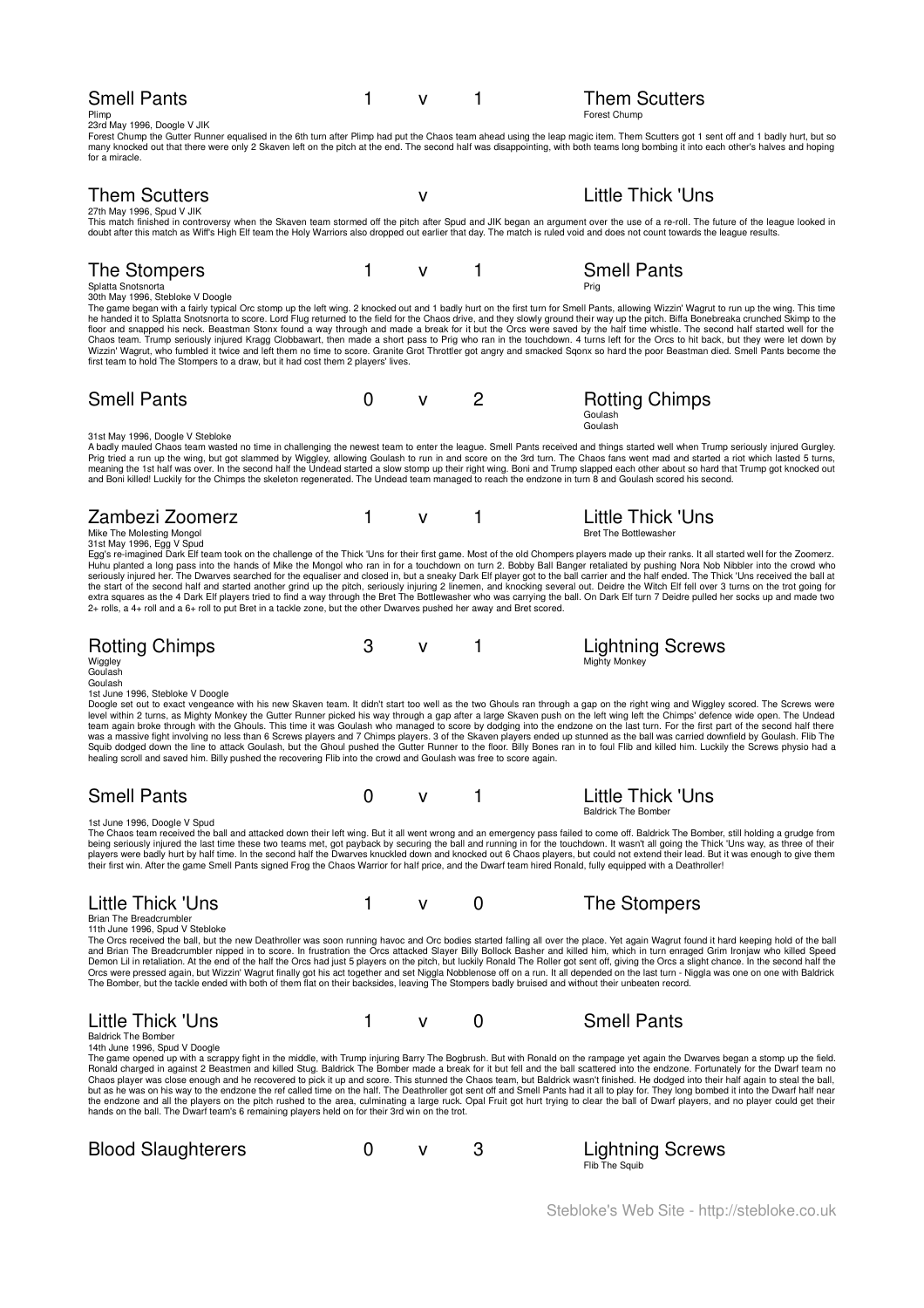| <b>Smell Pants</b><br>Plimp<br>23rd May 1996, Doogle V JIK                                                                                                                                                                                                                                                                                                                                                                                                                                                                                                                                                                                                                                                                                                                                                                                                                                                                                                                                                                                                                                             | 1 | v            |   | <b>Them Scutters</b><br>Forest Chump              |
|--------------------------------------------------------------------------------------------------------------------------------------------------------------------------------------------------------------------------------------------------------------------------------------------------------------------------------------------------------------------------------------------------------------------------------------------------------------------------------------------------------------------------------------------------------------------------------------------------------------------------------------------------------------------------------------------------------------------------------------------------------------------------------------------------------------------------------------------------------------------------------------------------------------------------------------------------------------------------------------------------------------------------------------------------------------------------------------------------------|---|--------------|---|---------------------------------------------------|
| Forest Chump the Gutter Runner equalised in the 6th turn after Plimp had put the Chaos team ahead using the leap magic item. Them Scutters got 1 sent off and 1 badly hurt, but so<br>many knocked out that there were only 2 Skaven left on the pitch at the end. The second half was disappointing, with both teams long bombing it into each other's halves and hoping<br>for a miracle.                                                                                                                                                                                                                                                                                                                                                                                                                                                                                                                                                                                                                                                                                                            |   |              |   |                                                   |
| <b>Them Scutters</b>                                                                                                                                                                                                                                                                                                                                                                                                                                                                                                                                                                                                                                                                                                                                                                                                                                                                                                                                                                                                                                                                                   |   | $\mathsf{v}$ |   | <b>Little Thick 'Uns</b>                          |
| 27th May 1996, Spud V JIK<br>This match finished in controversy when the Skaven team stormed off the pitch after Spud and JIK began an argument over the use of a re-roll. The future of the league looked in<br>doubt after this match as Wiff's High Elf team the Holy Warriors also dropped out earlier that day. The match is ruled void and does not count towards the league results.                                                                                                                                                                                                                                                                                                                                                                                                                                                                                                                                                                                                                                                                                                            |   |              |   |                                                   |
| The Stompers<br>Splatta Snotsnorta<br>30th May 1996, Stebloke V Doogle                                                                                                                                                                                                                                                                                                                                                                                                                                                                                                                                                                                                                                                                                                                                                                                                                                                                                                                                                                                                                                 | 1 | $\mathsf{V}$ | 1 | <b>Smell Pants</b><br>Prig                        |
| The game began with a fairly typical Orc stomp up the left wing. 2 knocked out and 1 badly hurt on the first turn for Smell Pants, allowing Wizzin' Wagrut to run up the wing. This time<br>he handed it to Splatta Snotsnorta to score. Lord Flug returned to the field for the Chaos drive, and they slowly ground their way up the pitch. Biffa Bonebreaka crunched Skimp to the<br>floor and snapped his neck. Beastman Stonx found a way through and made a break for it but the Orcs were saved by the half time whistle. The second half started well for the<br>Chaos team. Trump seriously injured Kragg Clobbawart, then made a short pass to Prig who ran in the touchdown. 4 turns left for the Orcs to hit back, but they were let down by<br>Wizzin' Wagrut, who fumbled it twice and left them no time to score. Granite Grot Throttler got angry and smacked Sqonx so hard the poor Beastman died. Smell Pants become the<br>first team to hold The Stompers to a draw, but it had cost them 2 players' lives.                                                                         |   |              |   |                                                   |
| <b>Smell Pants</b>                                                                                                                                                                                                                                                                                                                                                                                                                                                                                                                                                                                                                                                                                                                                                                                                                                                                                                                                                                                                                                                                                     | 0 | v            | 2 | <b>Rotting Chimps</b><br>Goulash<br>Goulash       |
| 31st May 1996, Doogle V Stebloke<br>A badly mauled Chaos team wasted no time in challenging the newest team to enter the league. Smell Pants received and things started well when Trump seriously injured Gurgley.<br>Prig tried a run up the wing, but got slammed by Wiggley, allowing Goulash to run in and score on the 3rd turn. The Chaos fans went mad and started a riot which lasted 5 turns,<br>meaning the 1st half was over. In the second half the Undead started a slow stomp up their right wing. Boni and Trump slapped each other about so hard that Trump got knocked out<br>and Boni killed! Luckily for the Chimps the skeleton regenerated. The Undead team managed to reach the endzone in turn 8 and Goulash scored his second.                                                                                                                                                                                                                                                                                                                                                |   |              |   |                                                   |
| Zambezi Zoomerz<br>Mike The Molesting Mongol<br>31st May 1996, Egg V Spud                                                                                                                                                                                                                                                                                                                                                                                                                                                                                                                                                                                                                                                                                                                                                                                                                                                                                                                                                                                                                              | 1 | $\mathsf{V}$ | 1 | Little Thick 'Uns<br><b>Bret The Bottlewasher</b> |
| Egg's re-imagined Dark Elf team took on the challenge of the Thick 'Uns for their first game. Most of the old Chompers players made up their ranks. It all started well for the Zoomerz.<br>Huhu planted a long pass into the hands of Mike the Mongol who ran in for a touchdown on turn 2. Bobby Ball Banger retaliated by pushing Nora Nob Nibbler into the crowd who<br>seriously injured her. The Dwarves searched for the equaliser and closed in, but a sneaky Dark Elf player got to the ball carrier and the half ended. The Thick 'Uns received the ball at<br>the start of the second half and started another grind up the pitch, seriously injuring 2 linemen, and knocking several out. Deidre the Witch Elf fell over 3 turns on the trot going for<br>extra squares as the 4 Dark Elf players tried to find a way through the Bret The Bottlewasher who was carrying the ball. On Dark Elf turn 7 Deidre pulled her socks up and made two<br>2+ rolls, a 4+ roll and a 6+ roll to put Bret in a tackle zone, but the other Dwarves pushed her away and Bret scored.                    |   |              |   |                                                   |
| Rotting Chimps<br>Wiggley<br>Goulash                                                                                                                                                                                                                                                                                                                                                                                                                                                                                                                                                                                                                                                                                                                                                                                                                                                                                                                                                                                                                                                                   | 3 | v            | 1 | <b>Lightning Screws</b><br><b>Mighty Monkey</b>   |
| Goulash<br>1st June 1996, Stebloke V Doogle<br>Doogle set out to exact vengeance with his new Skaven team. It didn't start too well as the two Ghouls ran through a gap on the right wing and Wiggley scored. The Screws were<br>level within 2 turns, as Mighty Monkey the Gutter Runner picked his way through a gap after a large Skaven push on the left wing left the Chimps' defence wide open. The Undead<br>team again broke through with the Ghouls. This time it was Goulash who managed to score by dodging into the endzone on the last turn. For the first part of the second half there<br>was a massive fight involving no less than 6 Screws players and 7 Chimps players. 3 of the Skaven players ended up stunned as the ball was carried downfield by Goulash. Flib The<br>Squib dodged down the line to attack Goulash, but the Ghoul pushed the Gutter Runner to the floor. Billy Bones ran in to foul Flib and killed him. Luckily the Screws physio had a<br>healing scroll and saved him. Billy pushed the recovering Flib into the crowd and Goulash was free to score again. |   |              |   |                                                   |
| <b>Smell Pants</b>                                                                                                                                                                                                                                                                                                                                                                                                                                                                                                                                                                                                                                                                                                                                                                                                                                                                                                                                                                                                                                                                                     | 0 | v            |   | Little Thick 'Uns<br><b>Baldrick The Bomber</b>   |
| 1st June 1996, Doogle V Spud<br>The Chaos team received the ball and attacked down their left wing. But it all went wrong and an emergency pass failed to come off. Baldrick The Bomber, still holding a grudge from<br>being seriously injured the last time these two teams met, got payback by securing the ball and running in for the touchdown. It wasn't all going the Thick 'Uns way, as three of their<br>players were badly hurt by half time. In the second half the Dwarves knuckled down and knocked out 6 Chaos players, but could not extend their lead. But it was enough to give them<br>their first win. After the game Smell Pants signed Frog the Chaos Warrior for half price, and the Dwarf team hired Ronald, fully equipped with a Deathroller!                                                                                                                                                                                                                                                                                                                                |   |              |   |                                                   |
| <b>Little Thick 'Uns</b><br>Brian The Breadcrumbler<br>11th June 1996, Spud V Stebloke                                                                                                                                                                                                                                                                                                                                                                                                                                                                                                                                                                                                                                                                                                                                                                                                                                                                                                                                                                                                                 | 1 | v            | 0 | The Stompers                                      |
| The Orcs received the ball, but the new Deathroller was soon running havoc and Orc bodies started falling all over the place. Yet again Wagrut found it hard keeping hold of the ball<br>and Brian The Breadcrumbler nipped in to score. In frustration the Orcs attacked Slayer Billy Bollock Basher and killed him, which in turn enraged Grim Ironjaw who killed Speed<br>Demon Lil in retaliation. At the end of the half the Orcs had just 5 players on the pitch, but luckily Ronald The Roller got sent off, giving the Orcs a slight chance. In the second half the<br>Orcs were pressed again, but Wizzin' Wagrut finally got his act together and set Niggla Nobblenose off on a run. It all depended on the last turn - Niggla was one on one with Baldrick<br>The Bomber, but the tackle ended with both of them flat on their backsides, leaving The Stompers badly bruised and without their unbeaten record.                                                                                                                                                                            |   |              |   |                                                   |
| Little Thick 'Uns<br><b>Baldrick The Bomber</b>                                                                                                                                                                                                                                                                                                                                                                                                                                                                                                                                                                                                                                                                                                                                                                                                                                                                                                                                                                                                                                                        | 1 | v            | 0 | <b>Smell Pants</b>                                |
| 14th June 1996, Spud V Doogle<br>The game opened up with a scrappy fight in the middle, with Trump injuring Barry The Bogbrush. But with Ronald on the rampage yet again the Dwarves began a stomp up the field.<br>Ronald charged in against 2 Beastmen and killed Stug. Baldrick The Bomber made a break for it but fell and the ball scattered into the endzone. Fortunately for the Dwarf team no<br>Chaos player was close enough and he recovered to pick it up and score. This stunned the Chaos team, but Baldrick wasn't finished. He dodged into their half again to steal the ball,<br>but as he was on his way to the endzone the ref called time on the half. The Deathroller got sent off and Smell Pants had it all to play for. They long bombed it into the Dwarf half near<br>the endzone and all the players on the pitch rushed to the area, culminating a large ruck. Opal Fruit got hurt trying to clear the ball of Dwarf players, and no player could get their<br>hands on the ball. The Dwarf team's 6 remaining players held on for their 3rd win on the trot.              |   |              |   |                                                   |
| <b>Blood Slaughterers</b>                                                                                                                                                                                                                                                                                                                                                                                                                                                                                                                                                                                                                                                                                                                                                                                                                                                                                                                                                                                                                                                                              | 0 | ٧            | 3 | Lightning Screws<br>Flib The Squib                |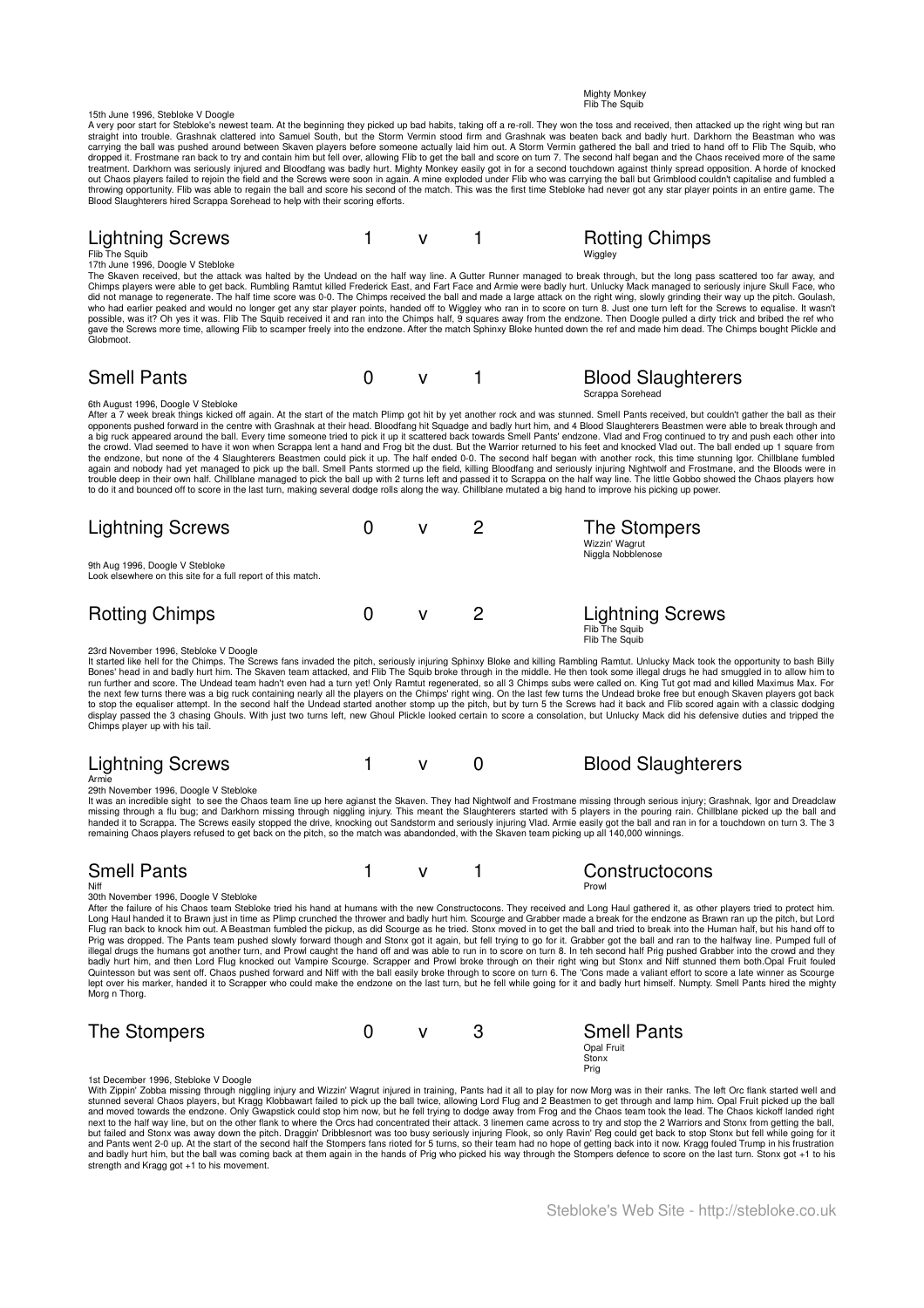**Flib The Squit** 15th June 1996, Stebloke V Doogle A very poor start for Stebloke's newest team. At the beginning they picked up bad habits, taking off a re-roll. They won the toss and received, then attacked up the right wing but ran<br>straight into trouble. Grashnak clatte carrying the ball was pushed around between Skaven players before someone actually laid him out. A Storm Vermin gathered the ball and tried to hand off to Flib The Squib, who<br>dropped it. Frostmane ran back to try and conta treatment. Darkhorn was seriously injured and Bloodfang was badly hurt. Mighty Monkey easily got in for a second touchdown against thinly spread opposition. A horde of knocked<br>out Chaos players failed to rejoin the field a Lightning Screws 1 v 1 Rotting Chimps Flib The Squib Wiggley 17th June 1996, Doogle V Stebloke The Skaven received, but the attack was halted by the Undead on the half way line. A Gutter Runner managed to break through, but the long pass scattered too far away, and<br>Chimps players were able to get back. Rumbling Ramt who had earlier peaked and would no longer get any star player points, handed off to Wiggley who ran in to score on turn 8. Just one turn left for the Screws to equalise. It wasn't<br>possible, was it? Oh yes it was. Flib The gave the Screws more time, allowing Flib to scamper freely into the endzone. After the match Sphinxy Bloke hunted down the ref and made him dead. The Chimps bought Plickle and Globmoot. Smell Pants **Community** Community Community Community Community Community Community Community Community Community Scrappa Sorehead 6th August 1996, Doogle V Stebloke After a 7 week break things kicked off again. At the start of the match Plimp got hit by yet another rock and was stunned. Smell Pants received, but couldn't gather the ball as their opponents pushed forward in the centre with Grashnak at their head. Bloodfang hit Squadge and badly hurt him, and 4 Blood Slaughterers Beastmen were able to break through and<br>a big ruck appeared around the ball. Every time the crowd. Vlad seemed to have it won when Scrappa lent a hand and Frog bit the dust. But the Warrior returned to his feet and knocked Vlad out. The ball ended up 1 square from<br>the endzone, but none of the 4 Slaughterers B to do it and bounced off to score in the last turn, making several dodge rolls along the way. Chillblane mutated a big hand to improve his picking up power. Lightning Screws **0** v 2 The Stompers Wizzin' Wagrut Niggla Nobblenose 9th Aug 1996, Doogle V Stebloke Look elsewhere on this site for a full report of this match. Rotting Chimps 0 v 2 Lightning Screws Flib The Squib Flib The Squib 23rd November 1996, Stebloke V Doogle

Mighty Monkey

It started like hell for the Chimps. The Screws fans invaded the pitch, seriously injuring Sphinxy Bloke and killing Rambling Rambl. Unlucky Mack took the opportunity to bash Billy<br>Bones' head in and badly hur him. The Ska Chimps player up with his tail.

| <b>Lightning Screws</b> |  | <b>Blood Slaughterers</b> |
|-------------------------|--|---------------------------|
| Armie                   |  |                           |

Armie 29th November 1996, Doogle V Stebloke

It was an incredible sight to see the Chaos team line up here agianst the Skaven. They had Nightwolf and Frostmane missing through serious injury; Grashnak, Igor and Dreadclaw<br>missing through a flu bug; and Darkhorn missin

| <b>Smell Pants</b>                    |  | Constructocons |
|---------------------------------------|--|----------------|
| Niff                                  |  | Prowl          |
| 20th November 1996, Deedle V Stebleke |  |                |

30th November 1996, Doogle V Stebloke After the failure of his Chaos team Stebloke tried his hand at humans with the new Constructocons. They received and Long Haul gathered it, as other players tried to protect him. Long Haul handed it to Brawn just in time as Plimp crunched the thrower and badly hurt him. Scourge and Grabber made a break for the endzone as Brawn ran up the pitch, but Lord<br>Flug ran back to knock him out. A Beastman fu Prig was dropped. The Pants team pushed slowly forward though and Stonx got it again, but fell trying to go for it. Grabber got the ball and ran to the halfway line. Pumped full of<br>illegal drugs the humans got another turn badly hurt him, and then Lord Flug knocked out Vampire Scourge. Scrapper and Prowl broke through on their right wing but Stonx and Niff stunned them both.Opal Fruit fouled<br>Quintesson but was sent off. Chaos pushed forward lept over his marker, handed it to Scrapper who could make the endzone on the last turn, but he fell while going for it and badly hurt himself. Numpty. Smell Pants hired the mighty Morg n Thorg.

| The Stompers |  | <b>Smell Pants</b>  |
|--------------|--|---------------------|
|              |  | Opal Fruit<br>Stonx |
|              |  | Prig                |

1st December 1996, Stebloke V Doogle

With Zippin' Zobba missing through niggling injury and Wizzin' Wagrut injured in training, Pants had it all to play for now Morg was in their ranks. The left Orc flank started well and<br>stunned several Chaos players, but Kr next to the half way line, but on the other flank to where the Orcs had concentrated their attack. 3 linemen came across to try and stop the 2 Warriors and Stonx from getting the ball,<br>but failed and Stonx was away down th and Pants went 2-0 up. At the start of the second half the Stompers fans rioted for 5 turns, so their team had no hope of getting back into it now. Kragg fouled Trump in his frustration<br>and badly hurt him, but the ball was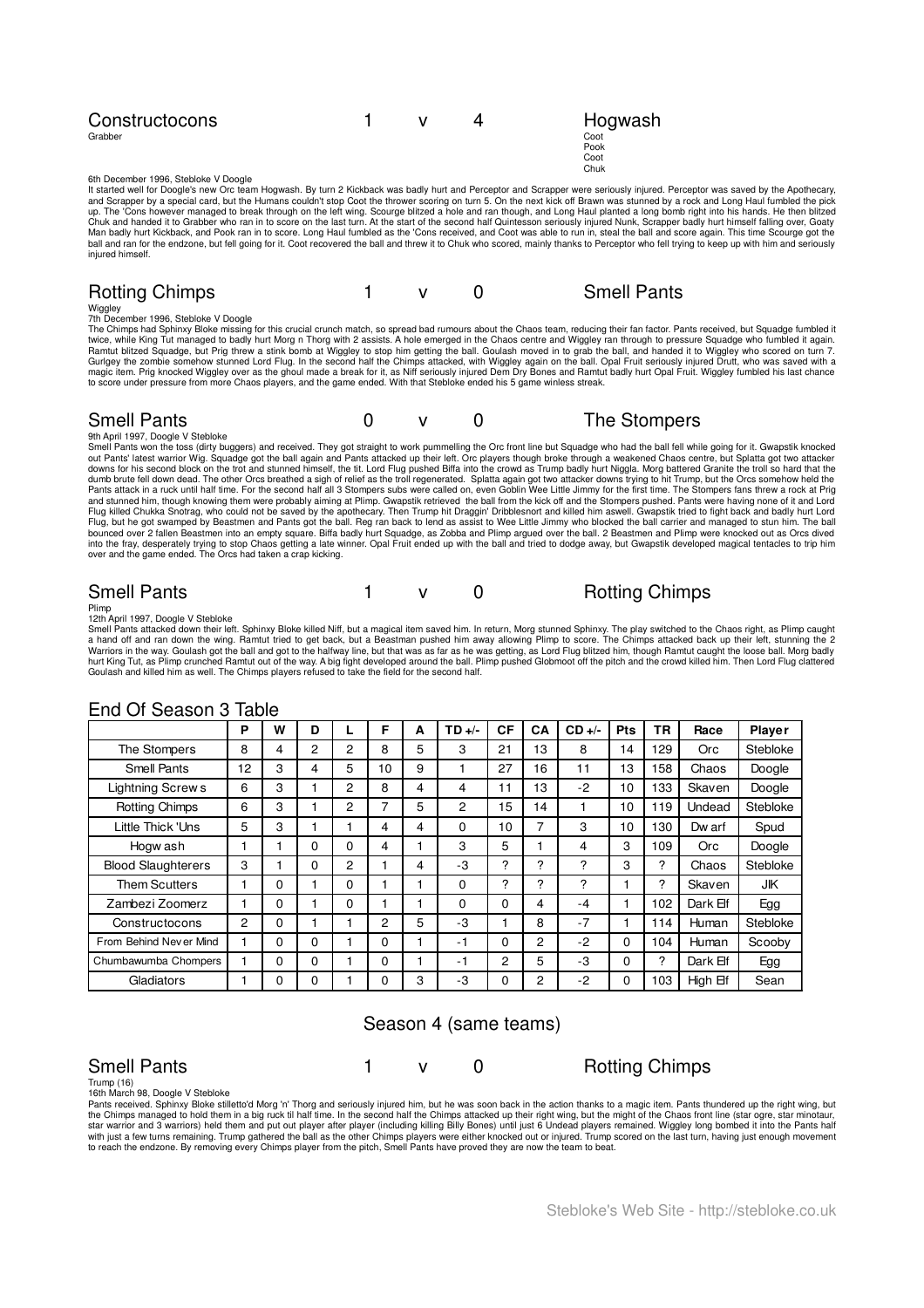| Constructocons |  | Hogwash |
|----------------|--|---------|
| Grabber        |  | Coot    |
|                |  | Pook    |
|                |  | Coot    |

6th December 1996, Stebloke V Doogle

It started well for Doogle's new Orc team Hogwash. By turn 2 Kickback was badly hurt and Perceptor and Scrapper were seriously injured. Perceptor was saved by the Apothecary,<br>and Scrapper by a special card, but the Humans Man badly hurt Kickback, and Pook ran in to score. Long Haul fumbled as the 'Cons received, and Coot was able to run in, steal the ball and score again. This time Scourge got the<br>ball and ran for the endzone, but fell goin injured himself.

Chuk

| <b>Rotting Chimps</b> |  | <b>Smell Pants</b> |
|-----------------------|--|--------------------|
| $MAE = -1$            |  |                    |

Wiggley 7th December 1996, Stebloke V Doogle

The Chimps had Sphinxy Bloke missing for this crucial crunch match, so spread bad rumours about the Chaos team, reducing their fan factor. Pants received, but Squadge fumbled it wice, while King Tut maged to badly hurt Mor to score under pressure from more Chaos players, and the game ended. With that Stebloke ended his 5 game winless streak.

# Smell Pants **Competition Competition** Computer of the Stompers

9th April 1997, Doogle V Stebloke

Smell Pants won the toss (dirty buggers) and received. They got straight to work pummelling the Orc front line but Squadge who had the ball fell while going for it. Gwapstik knocked<br>out Pants' latest warrior Wig. Squadge g dumb brute fell down dead. The other Orcs breathed a sigh of relief as the troll regenerated. Splatta again got two attacker downs trying to hit Trump, but the Orcs somehow held the<br>Pants attack in a ruck until half time. into the fray, desperately trying to stop Chaos getting a late winner. Opal Fruit ended up with the ball and tried to dodge away, but Gwapstik developed magical tentacles to trip him<br>over and the game ended. The Orcs had t

Smell Pants<br>12th April 1997, Doogle V Stebloke<br>Smell Pants attacked down their left. Sphinxy Bloke killed Niff, but a magical item saved him. In return, Morg stunned Sphinxy. The play switched to the Chaos right, as Plimp Fig. The Coulash and killed him as well. The Chimps players refused to take the field for the second half. Plimp pushed Globmoot off the pitch and the crowd killed him. Then Lord Flug class had killed him. Then Lord Flug c

|                           | P              | W | D        |   | F  | A | $TD +/-$ | CF | CA | $CD +/-$ | Pts | TR             | Race       | Player   |
|---------------------------|----------------|---|----------|---|----|---|----------|----|----|----------|-----|----------------|------------|----------|
| The Stompers              | 8              | 4 | 2        | 2 | 8  | 5 | 3        | 21 | 13 | 8        | 14  | 129            | <b>Orc</b> | Stebloke |
| Smell Pants               | 12             | 3 | 4        | 5 | 10 | 9 |          | 27 | 16 | 11       | 13  | 158            | Chaos      | Doogle   |
| <b>Lightning Screws</b>   | 6              | 3 |          | 2 | 8  | 4 | 4        | 11 | 13 | $-2$     | 10  | 133            | Skaven     | Doogle   |
| <b>Rotting Chimps</b>     | 6              | 3 |          | 2 | 7  | 5 | 2        | 15 | 14 |          | 10  | 119            | Undead     | Stebloke |
| Little Thick 'Uns         | 5              | 3 |          |   | 4  | 4 | 0        | 10 | 7  | 3        | 10  | 130            | Dw arf     | Spud     |
| Hogw ash                  |                |   | 0        | 0 | 4  |   | 3        | 5  |    | 4        | 3   | 109            | <b>Orc</b> | Doogle   |
| <b>Blood Slaughterers</b> | 3              |   | $\Omega$ | 2 |    | 4 | -3       | ?  | ?  | ?        | 3   | $\overline{?}$ | Chaos      | Stebloke |
| <b>Them Scutters</b>      |                | 0 |          | 0 |    |   | 0        | 2  | ?  | ?        |     | ?              | Skaven     | JK       |
| Zambezi Zoomerz           |                | 0 |          | 0 |    |   | 0        | 0  | 4  | $-4$     |     | 102            | Dark Elf   | Egg      |
| Constructocons            | $\overline{c}$ | 0 |          |   | 2  | 5 | -3       |    | 8  | $-7$     |     | 114            | Human      | Stebloke |
| From Behind Never Mind    |                | 0 | 0        |   | 0  |   | -1       | 0  | 2  | $-2$     | 0   | 104            | Human      | Scooby   |
| Chumbawumba Chompers      |                | 0 | $\Omega$ |   | 0  |   | -1       | 2  | 5  | -3       | 0   | ?              | Dark Elf   | Egg      |
| Gladiators                |                | 0 | 0        |   | 0  | 3 | -3       | 0  | 2  | $-2$     | 0   | 103            | High Elf   | Sean     |

### End Of Season 3 Table

### Season 4 (same teams)

Smell Pants<br>Trump (16)<br>Pants received. Sphinxy Bloke stilletto'd Morg 'n' Thorg and seriously injured him, but he was soon back in the action thanks to a magic item. Pants thundered up the right wing, but<br>Pants received. S with just a few tums remaining. Trump gathered the ball as the other Chimps players were either knocked out or injured. Trump scored on the last turn, having just enough movement<br>to reach the endzone. By removing every Chi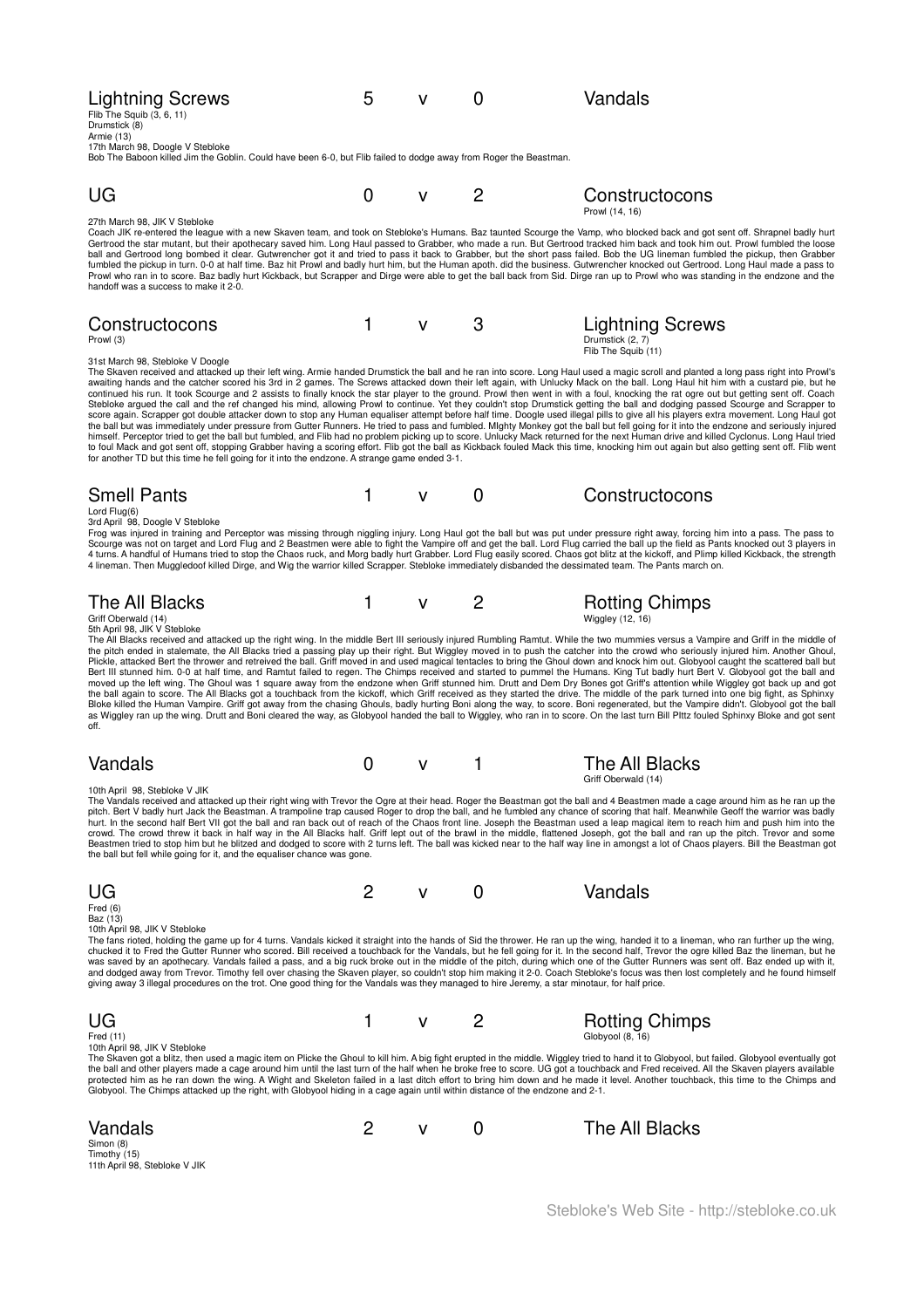| <b>Lightning Screws</b><br>Flib The Squib (3, 6, 11)<br>Drumstick (8)<br>Armie (13)<br>17th March 98, Doogle V Stebloke<br>Bob The Baboon killed Jim the Goblin. Could have been 6-0, but Flib failed to dodge away from Roger the Beastman.                                                                                                                                                                                                                                                                                                                                                                                                                                                                                                                                                                                                                                                                                                                                                                                                                                                                                                                                                                                                                                                                                                                                                                                                                                                                                                                                                                                                                        | 5 | v            | 0                                                                                                                              | Vandals                                                     |
|---------------------------------------------------------------------------------------------------------------------------------------------------------------------------------------------------------------------------------------------------------------------------------------------------------------------------------------------------------------------------------------------------------------------------------------------------------------------------------------------------------------------------------------------------------------------------------------------------------------------------------------------------------------------------------------------------------------------------------------------------------------------------------------------------------------------------------------------------------------------------------------------------------------------------------------------------------------------------------------------------------------------------------------------------------------------------------------------------------------------------------------------------------------------------------------------------------------------------------------------------------------------------------------------------------------------------------------------------------------------------------------------------------------------------------------------------------------------------------------------------------------------------------------------------------------------------------------------------------------------------------------------------------------------|---|--------------|--------------------------------------------------------------------------------------------------------------------------------|-------------------------------------------------------------|
|                                                                                                                                                                                                                                                                                                                                                                                                                                                                                                                                                                                                                                                                                                                                                                                                                                                                                                                                                                                                                                                                                                                                                                                                                                                                                                                                                                                                                                                                                                                                                                                                                                                                     |   |              |                                                                                                                                |                                                             |
| UG                                                                                                                                                                                                                                                                                                                                                                                                                                                                                                                                                                                                                                                                                                                                                                                                                                                                                                                                                                                                                                                                                                                                                                                                                                                                                                                                                                                                                                                                                                                                                                                                                                                                  | 0 | v            | 2                                                                                                                              | Constructocons<br>Prowl (14, 16)                            |
| 27th March 98, JIK V Stebloke<br>Coach JIK re-entered the league with a new Skaven team, and took on Stebloke's Humans. Baz taunted Scourge the Vamp, who blocked back and got sent off. Shrapnel badly hurt<br>Gertrood the star mutant, but their apothecary saved him. Long Haul passed to Grabber, who made a run. But Gertrood tracked him back and took him out. Prowl fumbled the loose<br>ball and Gertrood long bombed it clear. Gutwrencher got it and tried to pass it back to Grabber, but the short pass failed. Bob the UG lineman fumbled the pickup, then Grabber<br>fumbled the pickup in turn. 0-0 at half time. Baz hit Prowl and badly hurt him, but the Human apoth. did the business. Gutwrencher knocked out Gertrood. Long Haul made a pass to<br>Prowl who ran in to score. Baz badly hurt Kickback, but Scrapper and Dirge were able to get the ball back from Sid. Dirge ran up to Prowl who was standing in the endzone and the<br>handoff was a success to make it 2-0.                                                                                                                                                                                                                                                                                                                                                                                                                                                                                                                                                                                                                                                                |   |              |                                                                                                                                |                                                             |
| Constructocons<br>Prowl (3)                                                                                                                                                                                                                                                                                                                                                                                                                                                                                                                                                                                                                                                                                                                                                                                                                                                                                                                                                                                                                                                                                                                                                                                                                                                                                                                                                                                                                                                                                                                                                                                                                                         | 1 | v            | 3                                                                                                                              | Lightning Screws<br>Drumstick (2, 7)<br>Flib The Squib (11) |
| 31st March 98, Stebloke V Doogle<br>The Skaven received and attacked up their left wing. Armie handed Drumstick the ball and he ran into score. Long Haul used a magic scroll and planted a long pass right into Prowl's<br>awaiting hands and the catcher scored his 3rd in 2 games. The Screws attacked down their left again, with Unlucky Mack on the ball. Long Haul hit him with a custard pie, but he<br>continued his run. It took Scourge and 2 assists to finally knock the star player to the ground. Prowl then went in with a foul, knocking the rat ogre out but getting sent off. Coach<br>Stebloke argued the call and the ref changed his mind, allowing Prowl to continue. Yet they couldn't stop Drumstick getting the ball and dodging passed Scourge and Scrapper to<br>score again. Scrapper got double attacker down to stop any Human equaliser attempt before half time. Doogle used illegal pills to give all his players extra movement. Long Haul got<br>the ball but was immediately under pressure from Gutter Runners. He tried to pass and fumbled. Mighty Monkey got the ball but fell going for it into the endzone and seriously injured<br>himself. Perceptor tried to get the ball but fumbled, and Flib had no problem picking up to score. Unlucky Mack returned for the next Human drive and killed Cyclonus. Long Haul tried<br>to foul Mack and got sent off, stopping Grabber having a scoring effort. Flib got the ball as Kickback fouled Mack this time, knocking him out again but also getting sent off. Flib went<br>for another TD but this time he fell going for it into the endzone. A strange game ended 3-1. |   |              |                                                                                                                                |                                                             |
| <b>Smell Pants</b>                                                                                                                                                                                                                                                                                                                                                                                                                                                                                                                                                                                                                                                                                                                                                                                                                                                                                                                                                                                                                                                                                                                                                                                                                                                                                                                                                                                                                                                                                                                                                                                                                                                  | 1 | $\mathsf{V}$ | 0                                                                                                                              | Constructocons                                              |
| Lord $Flug(6)$<br>3rd April 98, Doogle V Stebloke<br>Frog was injured in training and Perceptor was missing through niggling injury. Long Haul got the ball but was put under pressure right away, forcing him into a pass. The pass to<br>Scourge was not on target and Lord Flug and 2 Beastmen were able to fight the Vampire off and get the ball. Lord Flug carried the ball up the field as Pants knocked out 3 players in<br>4 turns. A handful of Humans tried to stop the Chaos ruck, and Morg badly hurt Grabber. Lord Flug easily scored. Chaos got blitz at the kickoff, and Plimp killed Kickback, the strength<br>4 lineman. Then Muggledoof killed Dirge, and Wig the warrior killed Scrapper. Stebloke immediately disbanded the dessimated team. The Pants march on.                                                                                                                                                                                                                                                                                                                                                                                                                                                                                                                                                                                                                                                                                                                                                                                                                                                                               |   |              |                                                                                                                                |                                                             |
| The All Blacks<br>Griff Oberwald (14)                                                                                                                                                                                                                                                                                                                                                                                                                                                                                                                                                                                                                                                                                                                                                                                                                                                                                                                                                                                                                                                                                                                                                                                                                                                                                                                                                                                                                                                                                                                                                                                                                               | 1 | $\mathsf{v}$ | $\overline{c}$                                                                                                                 | <b>Rotting Chimps</b><br>Wiggley (12, 16)                   |
| 5th April 98, JIK V Stebloke<br>The All Blacks received and attacked up the right wing. In the middle Bert III seriously injured Rumbling Ramtut. While the two mummies versus a Vampire and Griff in the middle of<br>the pitch ended in stalemate, the All Blacks tried a passing play up their right. But Wiggley moved in to push the catcher into the crowd who seriously injured him. Another Ghoul,<br>Plickle, attacked Bert the thrower and retreived the ball. Griff moved in and used magical tentacles to bring the Ghoul down and knock him out. Globyool caught the scattered ball but<br>Bert III stunned him. 0-0 at half time, and Ramtut failed to regen. The Chimps received and started to pummel the Humans. King Tut badly hurt Bert V. Globyool got the ball and<br>moved up the left wing. The Ghoul was 1 square away from the endzone when Griff stunned him. Drutt and Dem Dry Bones got Griff's attention while Wiggley got back up and got<br>the ball again to score. The All Blacks got a touchback from the kickoff, which Griff received as they started the drive. The middle of the park turned into one big fight, as Sphinxy<br>Bloke killed the Human Vampire. Griff got away from the chasing Ghouls, badly hurting Boni along the way, to score. Boni regenerated, but the Vampire didn't. Globyool got the ball<br>as Wiggley ran up the wing. Drutt and Boni cleared the way, as Globyool handed the ball to Wiggley, who ran in to score. On the last turn Bill Plttz fouled Sphinxy Bloke and got sent<br>off.                                                                                                          |   |              |                                                                                                                                |                                                             |
| Vandals                                                                                                                                                                                                                                                                                                                                                                                                                                                                                                                                                                                                                                                                                                                                                                                                                                                                                                                                                                                                                                                                                                                                                                                                                                                                                                                                                                                                                                                                                                                                                                                                                                                             | 0 | v            | 1                                                                                                                              | The All Blacks<br>Griff Oberwald (14)                       |
| 10th April 98, Stebloke V JIK<br>The Vandals received and attacked up their right wing with Trevor the Ogre at their head. Roger the Beastman got the ball and 4 Beastmen made a cage around him as he ran up the<br>pitch. Bert V badly hurt Jack the Beastman. A trampoline trap caused Roger to drop the ball, and he fumbled any chance of scoring that half. Meanwhile Geoff the warrior was badly<br>hurt. In the second half Bert VII got the ball and ran back out of reach of the Chaos front line. Joseph the Beastman used a leap magical item to reach him and push him into the<br>crowd. The crowd threw it back in half way in the All Blacks half. Griff lept out of the brawl in the middle, flattened Joseph, got the ball and ran up the pitch. Trevor and some<br>Beastmen tried to stop him but he blitzed and dodged to score with 2 turns left. The ball was kicked near to the half way line in amongst a lot of Chaos players. Bill the Beastman got<br>the ball but fell while going for it, and the equaliser chance was gone.                                                                                                                                                                                                                                                                                                                                                                                                                                                                                                                                                                                                           |   |              |                                                                                                                                |                                                             |
| UG<br>Fred $(6)$<br>Baz (13)                                                                                                                                                                                                                                                                                                                                                                                                                                                                                                                                                                                                                                                                                                                                                                                                                                                                                                                                                                                                                                                                                                                                                                                                                                                                                                                                                                                                                                                                                                                                                                                                                                        | 2 | $\mathsf{V}$ | 0                                                                                                                              | Vandals                                                     |
| 10th April 98, JIK V Stebloke<br>The fans rioted, holding the game up for 4 turns. Vandals kicked it straight into the hands of Sid the thrower. He ran up the wing, handed it to a lineman, who ran further up the wing,<br>chucked it to Fred the Gutter Runner who scored. Bill received a touchback for the Vandals, but he fell going for it. In the second half, Trevor the ogre killed Baz the lineman, but he<br>was saved by an apothecary. Vandals failed a pass, and a big ruck broke out in the middle of the pitch, during which one of the Gutter Runners was sent off. Baz ended up with it,<br>and dodged away from Trevor. Timothy fell over chasing the Skaven player, so couldn't stop him making it 2-0. Coach Stebloke's focus was then lost completely and he found himself<br>giving away 3 illegal procedures on the trot. One good thing for the Vandals was they managed to hire Jeremy, a star minotaur, for half price.                                                                                                                                                                                                                                                                                                                                                                                                                                                                                                                                                                                                                                                                                                                 |   |              |                                                                                                                                |                                                             |
| UG<br>Fred (11)                                                                                                                                                                                                                                                                                                                                                                                                                                                                                                                                                                                                                                                                                                                                                                                                                                                                                                                                                                                                                                                                                                                                                                                                                                                                                                                                                                                                                                                                                                                                                                                                                                                     | 1 | $\mathsf{V}$ | $\overline{c}$                                                                                                                 | <b>Rotting Chimps</b><br>Globyool (8, 16)                   |
| 10th April 98, JIK V Stebloke<br>The Skaven got a blitz, then used a magic item on Plicke the Ghoul to kill him. A big fight erupted in the middle. Wiggley tried to hand it to Globyool, but failed. Globyool eventually got<br>the ball and other players made a cage around him until the last turn of the half when he broke free to score. UG got a touchback and Fred received. All the Skaven players available<br>protected him as he ran down the wing. A Wight and Skeleton failed in a last ditch effort to bring him down and he made it level. Another touchback, this time to the Chimps and                                                                                                                                                                                                                                                                                                                                                                                                                                                                                                                                                                                                                                                                                                                                                                                                                                                                                                                                                                                                                                                          |   |              | Globyool. The Chimps attacked up the right, with Globyool hiding in a cage again until within distance of the endzone and 2-1. |                                                             |

| Vandals                                                    | 2 | $\mathbf v$ | The All Blacks |
|------------------------------------------------------------|---|-------------|----------------|
| Simon (8)<br>Timothy (15)<br>11th April 98, Stebloke V JIK |   |             |                |
|                                                            |   |             |                |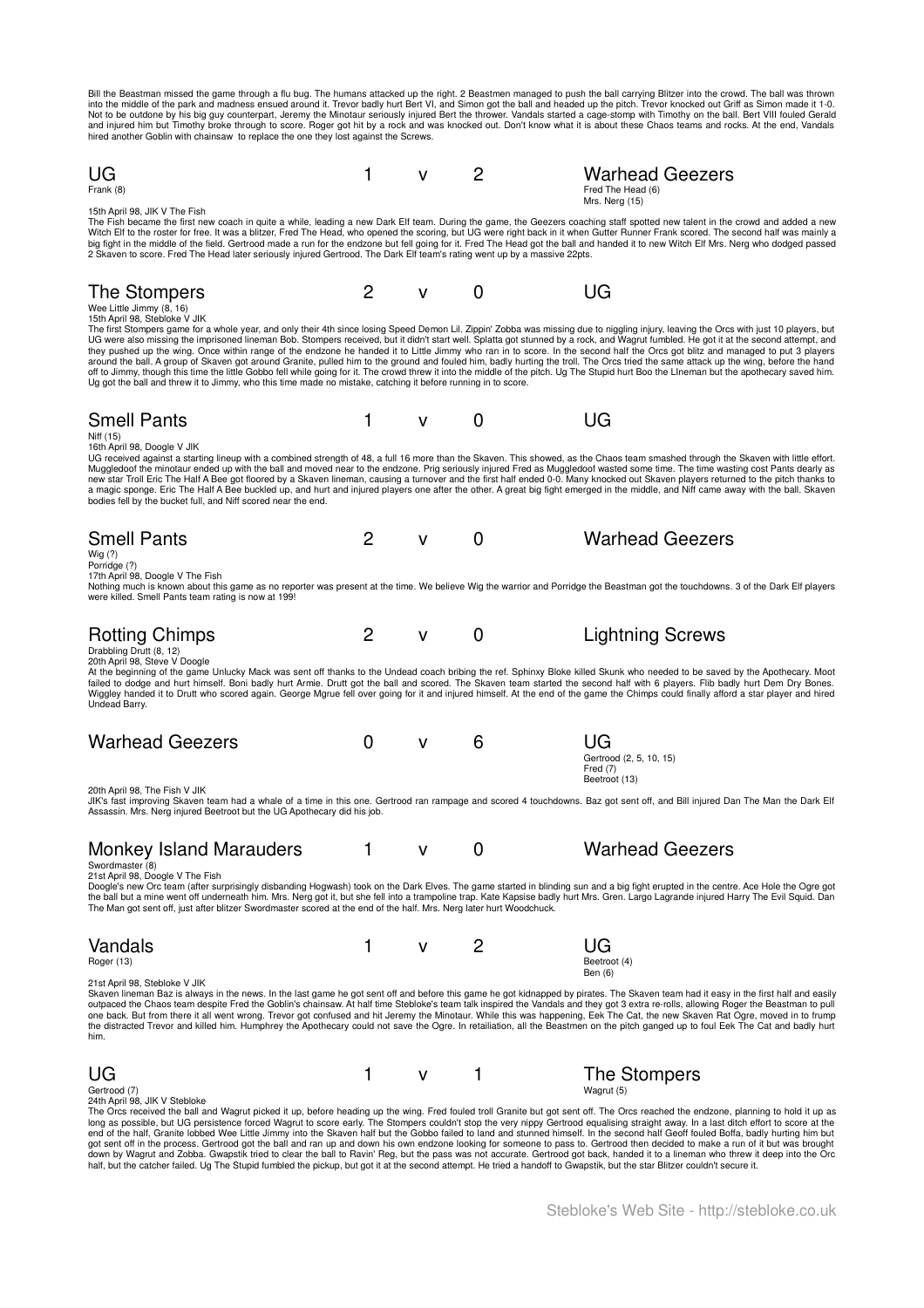Bill the Beastman missed the game through a flu bug. The humans attacked up the right. 2 Beastmen managed to push the ball carrying Blitzer into the crowd. The ball was thrown<br>into the middle of the park and madness ensued

| UG<br>Frank (8)                                                                                                                                                                                                                                                                                                                                                                                                                                                                                                                                                                                                                                                                                                                                                                                                                                                                                                                                                                                                                                                                                                                                                               | 1 | v            | 2        | <b>Warhead Geezers</b><br>Fred The Head (6)                  |
|-------------------------------------------------------------------------------------------------------------------------------------------------------------------------------------------------------------------------------------------------------------------------------------------------------------------------------------------------------------------------------------------------------------------------------------------------------------------------------------------------------------------------------------------------------------------------------------------------------------------------------------------------------------------------------------------------------------------------------------------------------------------------------------------------------------------------------------------------------------------------------------------------------------------------------------------------------------------------------------------------------------------------------------------------------------------------------------------------------------------------------------------------------------------------------|---|--------------|----------|--------------------------------------------------------------|
| 15th April 98, JIK V The Fish<br>The Fish became the first new coach in quite a while, leading a new Dark Elf team. During the game, the Geezers coaching staff spotted new talent in the crowd and added a new<br>Witch Elf to the roster for free. It was a blitzer, Fred The Head, who opened the scoring, but UG were right back in it when Gutter Runner Frank scored. The second half was mainly a<br>big fight in the middle of the field. Gertrood made a run for the endzone but fell going for it. Fred The Head got the ball and handed it to new Witch Elf Mrs. Nerg who dodged passed<br>2 Skaven to score. Fred The Head later seriously injured Gertrood. The Dark Elf team's rating went up by a massive 22pts.                                                                                                                                                                                                                                                                                                                                                                                                                                               |   |              |          | Mrs. Nerg (15)                                               |
| The Stompers<br>Wee Little Jimmy (8, 16)<br>15th April 98, Stebloke V JIK                                                                                                                                                                                                                                                                                                                                                                                                                                                                                                                                                                                                                                                                                                                                                                                                                                                                                                                                                                                                                                                                                                     | 2 | $\mathsf{V}$ | 0        | UG                                                           |
| The first Stompers game for a whole year, and only their 4th since losing Speed Demon Lil. Zippin' Zobba was missing due to niggling injury, leaving the Orcs with just 10 players, but<br>UG were also missing the imprisoned lineman Bob. Stompers received, but it didn't start well. Splatta got stunned by a rock, and Wagrut fumbled. He got it at the second attempt, and<br>they pushed up the wing. Once within range of the endzone he handed it to Little Jimmy who ran in to score. In the second half the Orcs got blitz and managed to put 3 players<br>around the ball. A group of Skaven got around Granite, pulled him to the ground and fouled him, badly hurting the troll. The Orcs tried the same attack up the wing, before the hand<br>off to Jimmy, though this time the little Gobbo fell while going for it. The crowd threw it into the middle of the pitch. Ug The Stupid hurt Boo the Lineman but the apothecary saved him.<br>Ug got the ball and threw it to Jimmy, who this time made no mistake, catching it before running in to score.                                                                                                     |   |              |          |                                                              |
| <b>Smell Pants</b><br>Niff (15)<br>16th April 98, Doogle V JIK                                                                                                                                                                                                                                                                                                                                                                                                                                                                                                                                                                                                                                                                                                                                                                                                                                                                                                                                                                                                                                                                                                                | 1 | $\mathsf{V}$ | 0        | UG                                                           |
| UG received against a starting lineup with a combined strength of 48, a full 16 more than the Skaven. This showed, as the Chaos team smashed through the Skaven with little effort.<br>Muggledoof the minotaur ended up with the ball and moved near to the endzone. Prig seriously injured Fred as Muggledoof wasted some time. The time wasting cost Pants dearly as<br>new star Troll Eric The Half A Bee got floored by a Skaven lineman, causing a turnover and the first half ended 0-0. Many knocked out Skaven players returned to the pitch thanks to<br>a magic sponge. Eric The Half A Bee buckled up, and hurt and injured players one after the other. A great big fight emerged in the middle, and Niff came away with the ball. Skaven<br>bodies fell by the bucket full, and Niff scored near the end.                                                                                                                                                                                                                                                                                                                                                        |   |              |          |                                                              |
| <b>Smell Pants</b><br>Wig (?)                                                                                                                                                                                                                                                                                                                                                                                                                                                                                                                                                                                                                                                                                                                                                                                                                                                                                                                                                                                                                                                                                                                                                 | 2 | v            | 0        | <b>Warhead Geezers</b>                                       |
| Porridge (?)<br>17th April 98, Doogle V The Fish<br>Nothing much is known about this game as no reporter was present at the time. We believe Wig the warrior and Porridge the Beastman got the touchdowns. 3 of the Dark Elf players<br>were killed. Smell Pants team rating is now at 199!                                                                                                                                                                                                                                                                                                                                                                                                                                                                                                                                                                                                                                                                                                                                                                                                                                                                                   |   |              |          |                                                              |
| <b>Rotting Chimps</b><br>Drabbling Drutt (8, 12)<br>20th April 98, Steve V Doogle<br>At the beginning of the game Unlucky Mack was sent off thanks to the Undead coach bribing the ref. Sphinxy Bloke killed Skunk who needed to be saved by the Apothecary. Moot                                                                                                                                                                                                                                                                                                                                                                                                                                                                                                                                                                                                                                                                                                                                                                                                                                                                                                             | 2 | v            | 0        | <b>Lightning Screws</b>                                      |
| failed to dodge and hurt himself. Boni badly hurt Armie. Drutt got the ball and scored. The Skaven team started the second half with 6 players. Flib badly hurt Dem Dry Bones.<br>Wiggley handed it to Drutt who scored again. George Mgrue fell over going for it and injured himself. At the end of the game the Chimps could finally afford a star player and hired<br>Undead Barry.                                                                                                                                                                                                                                                                                                                                                                                                                                                                                                                                                                                                                                                                                                                                                                                       |   |              |          |                                                              |
| <b>Warhead Geezers</b>                                                                                                                                                                                                                                                                                                                                                                                                                                                                                                                                                                                                                                                                                                                                                                                                                                                                                                                                                                                                                                                                                                                                                        | 0 | v            | 6        | UG<br>Gertrood (2, 5, 10, 15)<br>Fred $(7)$<br>Beetroot (13) |
| 20th April 98, The Fish V JIK<br>JIK's fast improving Skaven team had a whale of a time in this one. Gertrood ran rampage and scored 4 touchdowns. Baz got sent off, and Bill injured Dan The Man the Dark Elf<br>Assassin. Mrs. Nerg injured Beetroot but the UG Apothecary did his job.                                                                                                                                                                                                                                                                                                                                                                                                                                                                                                                                                                                                                                                                                                                                                                                                                                                                                     |   |              |          |                                                              |
| <b>Monkey Island Marauders</b><br>Swordmaster (8)                                                                                                                                                                                                                                                                                                                                                                                                                                                                                                                                                                                                                                                                                                                                                                                                                                                                                                                                                                                                                                                                                                                             |   | V            | $\Omega$ | <b>Warhead Geezers</b>                                       |
| 21st April 98, Doogle V The Fish<br>Doogle's new Orc team (after surprisingly disbanding Hogwash) took on the Dark Elves. The game started in blinding sun and a big fight erupted in the centre. Ace Hole the Ogre got<br>the ball but a mine went off underneath him. Mrs. Nerg got it, but she fell into a trampoline trap. Kate Kapsise badly hurt Mrs. Gren. Largo Lagrande injured Harry The Evil Squid. Dan<br>The Man got sent off, just after blitzer Swordmaster scored at the end of the half. Mrs. Nerg later hurt Woodchuck.                                                                                                                                                                                                                                                                                                                                                                                                                                                                                                                                                                                                                                     |   |              |          |                                                              |
| Vandals<br>Roger (13)                                                                                                                                                                                                                                                                                                                                                                                                                                                                                                                                                                                                                                                                                                                                                                                                                                                                                                                                                                                                                                                                                                                                                         |   | ۷            | 2        | UG<br>Beetroot (4)<br>Ben (6)                                |
| 21st April 98, Stebloke V JIK<br>Skaven lineman Baz is always in the news. In the last game he got sent off and before this game he got kidnapped by pirates. The Skaven team had it easy in the first half and easily<br>outpaced the Chaos team despite Fred the Goblin's chainsaw. At half time Stebloke's team talk inspired the Vandals and they got 3 extra re-rolls, allowing Roger the Beastman to pull<br>one back. But from there it all went wrong. Trevor got confused and hit Jeremy the Minotaur. While this was happening, Eek The Cat, the new Skaven Rat Ogre, moved in to frump<br>the distracted Trevor and killed him. Humphrey the Apothecary could not save the Ogre. In retailiation, all the Beastmen on the pitch ganged up to foul Eek The Cat and badly hurt<br>him.                                                                                                                                                                                                                                                                                                                                                                               |   |              |          |                                                              |
| UG                                                                                                                                                                                                                                                                                                                                                                                                                                                                                                                                                                                                                                                                                                                                                                                                                                                                                                                                                                                                                                                                                                                                                                            | 1 | v            |          | The Stompers                                                 |
| Gertrood (7)<br>24th April 98, JIK V Stebloke<br>The Orcs received the ball and Wagrut picked it up, before heading up the wing. Fred fouled troll Granite but got sent off. The Orcs reached the endzone, planning to hold it up as<br>long as possible, but UG persistence forced Wagrut to score early. The Stompers couldn't stop the very nippy Gertrood equalising straight away. In a last ditch effort to score at the<br>end of the half, Granite lobbed Wee Little Jimmy into the Skaven half but the Gobbo failed to land and stunned himself. In the second half Geoff fouled Boffa, badly hurting him but<br>got sent off in the process. Gertrood got the ball and ran up and down his own endzone looking for someone to pass to. Gertrood then decided to make a run of it but was brought<br>down by Wagrut and Zobba. Gwapstik tried to clear the ball to Ravin' Reg, but the pass was not accurate. Gertrood got back, handed it to a lineman who threw it deep into the Orc<br>half, but the catcher failed. Ug The Stupid fumbled the pickup, but got it at the second attempt. He tried a handoff to Gwapstik, but the star Blitzer couldn't secure it. |   |              |          | Wagrut (5)                                                   |